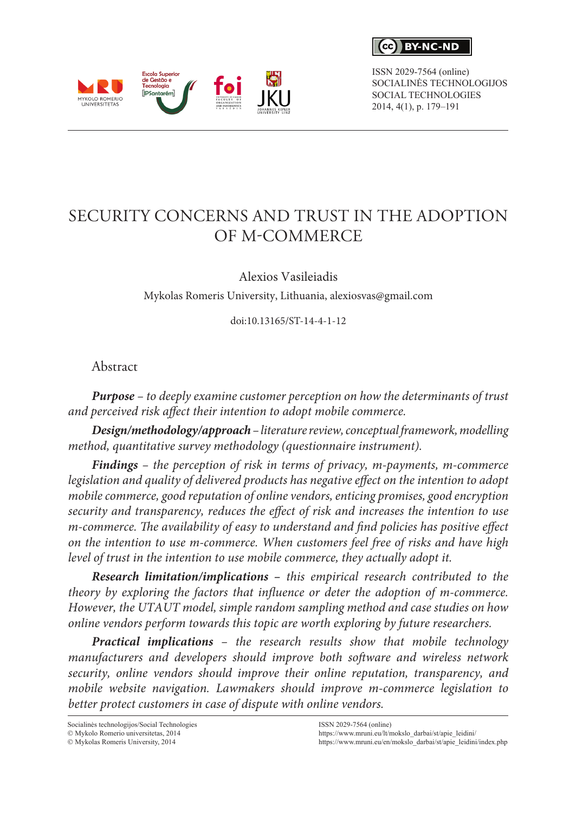$\epsilon$ c $\lambda$ **RY-NC-ND** 

ISSN 2029-7564 (online) SOCIALINĖS TECHNOLOGIJOS SOCIAL TECHNOLOGIES 2014, 4(1), p. 179–191

# SECURITY CONCERNS AND TRUST IN THE ADOPTION OF M-COMMERCE

Alexios Vasileiadis

Mykolas Romeris University, Lithuania, alexiosvas@gmail.com

doi:10.13165/ST-14-4-1-12

Abstract

*Purpose – to deeply examine customer perception on how the determinants of trust and perceived risk affect their intention to adopt mobile commerce.*

*Design/methodology/approach – literature review, conceptual framework, modelling method, quantitative survey methodology (questionnaire instrument).*

*Findings – the perception of risk in terms of privacy, m-payments, m-commerce*  legislation and quality of delivered products has negative effect on the intention to adopt *mobile commerce, good reputation of online vendors, enticing promises, good encryption security and transparency, reduces the effect of risk and increases the intention to use m-commerce. The availability of easy to understand and find policies has positive effect on the intention to use m-commerce. When customers feel free of risks and have high level of trust in the intention to use mobile commerce, they actually adopt it.*

*Research limitation/implications – this empirical research contributed to the theory by exploring the factors that influence or deter the adoption of m-commerce. However, the UTAUT model, simple random sampling method and case studies on how online vendors perform towards this topic are worth exploring by future researchers.* 

*Practical implications – the research results show that mobile technology manufacturers and developers should improve both software and wireless network security, online vendors should improve their online reputation, transparency, and mobile website navigation. Lawmakers should improve m-commerce legislation to better protect customers in case of dispute with online vendors.*

Socialinės technologijos/Social Technologies  $@$  Mykolo Romerio universitetas, 2014

 $\odot$  Mykolas Romeris University, 2014

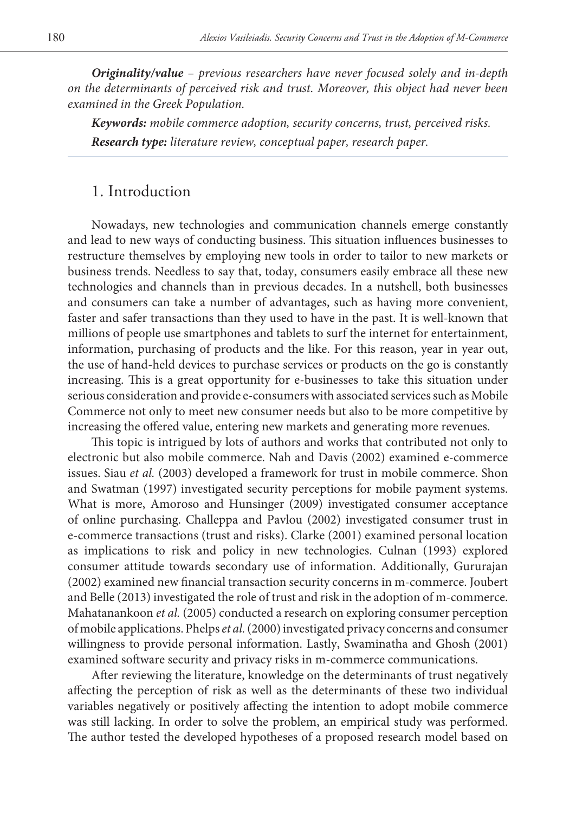*Originality/value – previous researchers have never focused solely and in-depth on the determinants of perceived risk and trust. Moreover, this object had never been examined in the Greek Population.*

*Keywords: mobile commerce adoption, security concerns, trust, perceived risks. Research type: literature review, conceptual paper, research paper.*

## 1. Introduction

Nowadays, new technologies and communication channels emerge constantly and lead to new ways of conducting business. This situation influences businesses to restructure themselves by employing new tools in order to tailor to new markets or business trends. Needless to say that, today, consumers easily embrace all these new technologies and channels than in previous decades. In a nutshell, both businesses and consumers can take a number of advantages, such as having more convenient, faster and safer transactions than they used to have in the past. It is well-known that millions of people use smartphones and tablets to surf the internet for entertainment, information, purchasing of products and the like. For this reason, year in year out, the use of hand-held devices to purchase services or products on the go is constantly increasing. This is a great opportunity for e-businesses to take this situation under serious consideration and provide e-consumers with associated services such as Mobile Commerce not only to meet new consumer needs but also to be more competitive by increasing the offered value, entering new markets and generating more revenues.

This topic is intrigued by lots of authors and works that contributed not only to electronic but also mobile commerce. Nah and Davis (2002) examined e-commerce issues. Siau *et al.* (2003) developed a framework for trust in mobile commerce. Shon and Swatman (1997) investigated security perceptions for mobile payment systems. What is more, Amoroso and Hunsinger (2009) investigated consumer acceptance of online purchasing. Challeppa and Pavlou (2002) investigated consumer trust in e-commerce transactions (trust and risks). Clarke (2001) examined personal location as implications to risk and policy in new technologies. Culnan (1993) explored consumer attitude towards secondary use of information. Additionally, Gururajan (2002) examined new financial transaction security concerns in m-commerce. Joubert and Belle (2013) investigated the role of trust and risk in the adoption of m-commerce. Mahatanankoon *et al.* (2005) conducted a research on exploring consumer perception of mobile applications. Phelps *et al.* (2000) investigated privacy concerns and consumer willingness to provide personal information. Lastly, Swaminatha and Ghosh (2001) examined software security and privacy risks in m-commerce communications.

After reviewing the literature, knowledge on the determinants of trust negatively affecting the perception of risk as well as the determinants of these two individual variables negatively or positively affecting the intention to adopt mobile commerce was still lacking. In order to solve the problem, an empirical study was performed. The author tested the developed hypotheses of a proposed research model based on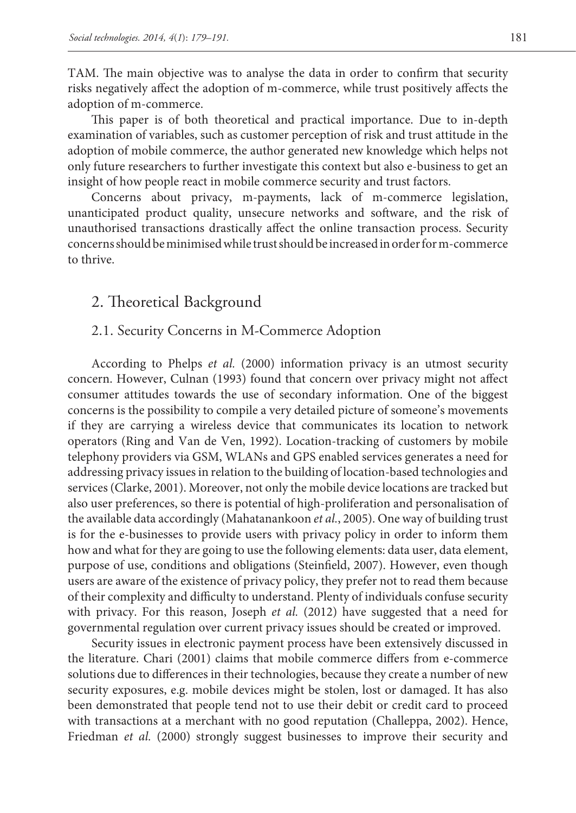TAM. The main objective was to analyse the data in order to confirm that security risks negatively affect the adoption of m-commerce, while trust positively affects the adoption of m-commerce.

This paper is of both theoretical and practical importance. Due to in-depth examination of variables, such as customer perception of risk and trust attitude in the adoption of mobile commerce, the author generated new knowledge which helps not only future researchers to further investigate this context but also e-business to get an insight of how people react in mobile commerce security and trust factors.

Concerns about privacy, m-payments, lack of m-commerce legislation, unanticipated product quality, unsecure networks and software, and the risk of unauthorised transactions drastically affect the online transaction process. Security concerns should be minimised while trust should be increased in order for m-commerce to thrive.

### 2. Theoretical Background

### 2.1. Security Concerns in M-Commerce Adoption

According to Phelps *et al.* (2000) information privacy is an utmost security concern. However, Culnan (1993) found that concern over privacy might not affect consumer attitudes towards the use of secondary information. One of the biggest concerns is the possibility to compile a very detailed picture of someone's movements if they are carrying a wireless device that communicates its location to network operators (Ring and Van de Ven, 1992). Location-tracking of customers by mobile telephony providers via GSM, WLANs and GPS enabled services generates a need for addressing privacy issues in relation to the building of location-based technologies and services (Clarke, 2001). Moreover, not only the mobile device locations are tracked but also user preferences, so there is potential of high-proliferation and personalisation of the available data accordingly (Mahatanankoon *et al.*, 2005). One way of building trust is for the e-businesses to provide users with privacy policy in order to inform them how and what for they are going to use the following elements: data user, data element, purpose of use, conditions and obligations (Steinfield, 2007). However, even though users are aware of the existence of privacy policy, they prefer not to read them because of their complexity and difficulty to understand. Plenty of individuals confuse security with privacy. For this reason, Joseph *et al.* (2012) have suggested that a need for governmental regulation over current privacy issues should be created or improved.

Security issues in electronic payment process have been extensively discussed in the literature. Chari (2001) claims that mobile commerce differs from e-commerce solutions due to differences in their technologies, because they create a number of new security exposures, e.g. mobile devices might be stolen, lost or damaged. It has also been demonstrated that people tend not to use their debit or credit card to proceed with transactions at a merchant with no good reputation (Challeppa, 2002). Hence, Friedman *et al.* (2000) strongly suggest businesses to improve their security and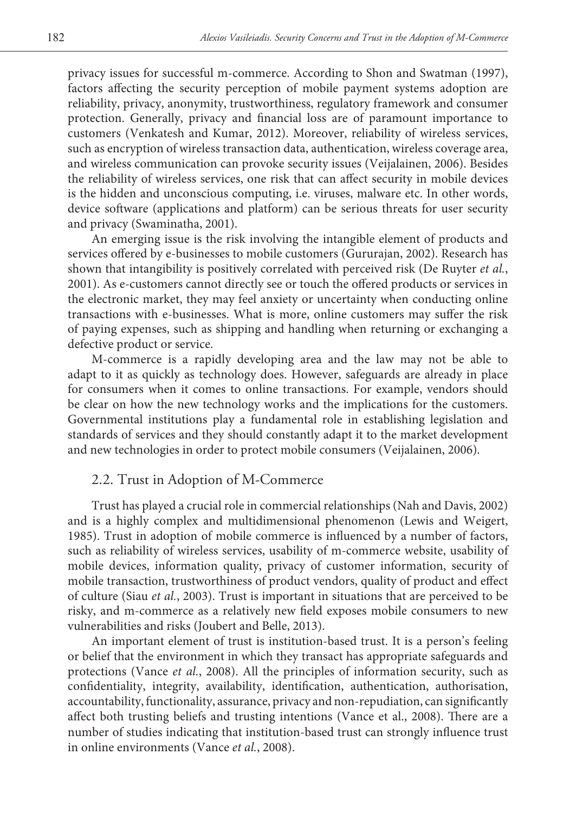privacy issues for successful m-commerce. According to Shon and Swatman (1997), factors affecting the security perception of mobile payment systems adoption are reliability, privacy, anonymity, trustworthiness, regulatory framework and consumer protection. Generally, privacy and financial loss are of paramount importance to customers (Venkatesh and Kumar, 2012). Moreover, reliability of wireless services, such as encryption of wireless transaction data, authentication, wireless coverage area, and wireless communication can provoke security issues (Veijalainen, 2006). Besides the reliability of wireless services, one risk that can affect security in mobile devices is the hidden and unconscious computing, i.e. viruses, malware etc. In other words, device software (applications and platform) can be serious threats for user security and privacy (Swaminatha, 2001).

An emerging issue is the risk involving the intangible element of products and services offered by e-businesses to mobile customers (Gururajan, 2002). Research has shown that intangibility is positively correlated with perceived risk (De Ruyter *et al.*, 2001). As e-customers cannot directly see or touch the offered products or services in the electronic market, they may feel anxiety or uncertainty when conducting online transactions with e-businesses. What is more, online customers may suffer the risk of paying expenses, such as shipping and handling when returning or exchanging a defective product or service.

M-commerce is a rapidly developing area and the law may not be able to adapt to it as quickly as technology does. However, safeguards are already in place for consumers when it comes to online transactions. For example, vendors should be clear on how the new technology works and the implications for the customers. Governmental institutions play a fundamental role in establishing legislation and standards of services and they should constantly adapt it to the market development and new technologies in order to protect mobile consumers (Veijalainen, 2006).

### 2.2. Trust in Adoption of M-Commerce

Trust has played a crucial role in commercial relationships (Nah and Davis, 2002) and is a highly complex and multidimensional phenomenon (Lewis and Weigert, 1985). Trust in adoption of mobile commerce is influenced by a number of factors, such as reliability of wireless services, usability of m-commerce website, usability of mobile devices, information quality, privacy of customer information, security of mobile transaction, trustworthiness of product vendors, quality of product and effect of culture (Siau *et al.*, 2003). Trust is important in situations that are perceived to be risky, and m-commerce as a relatively new field exposes mobile consumers to new vulnerabilities and risks (Joubert and Belle, 2013).

An important element of trust is institution-based trust. It is a person's feeling or belief that the environment in which they transact has appropriate safeguards and protections (Vance *et al.*, 2008). All the principles of information security, such as confidentiality, integrity, availability, identification, authentication, authorisation, accountability, functionality, assurance, privacy and non-repudiation, can significantly affect both trusting beliefs and trusting intentions (Vance et al., 2008). There are a number of studies indicating that institution-based trust can strongly influence trust in online environments (Vance *et al.*, 2008).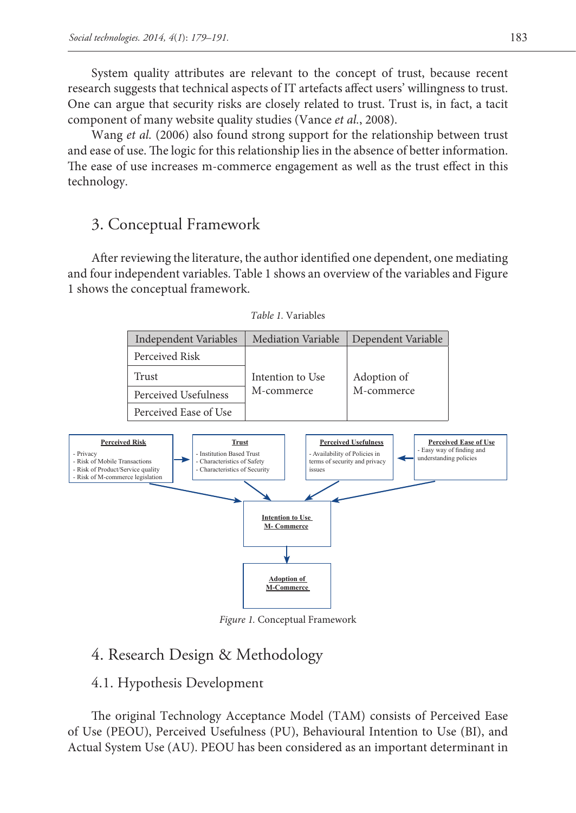System quality attributes are relevant to the concept of trust, because recent research suggests that technical aspects of IT artefacts affect users' willingness to trust. One can argue that security risks are closely related to trust. Trust is, in fact, a tacit component of many website quality studies (Vance *et al.*, 2008).

Wang *et al.* (2006) also found strong support for the relationship between trust and ease of use. The logic for this relationship lies in the absence of better information. The ease of use increases m-commerce engagement as well as the trust effect in this technology.

# 3. Conceptual Framework

After reviewing the literature, the author identified one dependent, one mediating and four independent variables. Table 1 shows an overview of the variables and Figure 1 shows the conceptual framework.



*Table 1.* Variables

*Figure 1.* Conceptual Framework

# 4. Research Design & Methodology

#### 4.1. Hypothesis Development

The original Technology Acceptance Model (TAM) consists of Perceived Ease of Use (PEOU), Perceived Usefulness (PU), Behavioural Intention to Use (BI), and Actual System Use (AU). PEOU has been considered as an important determinant in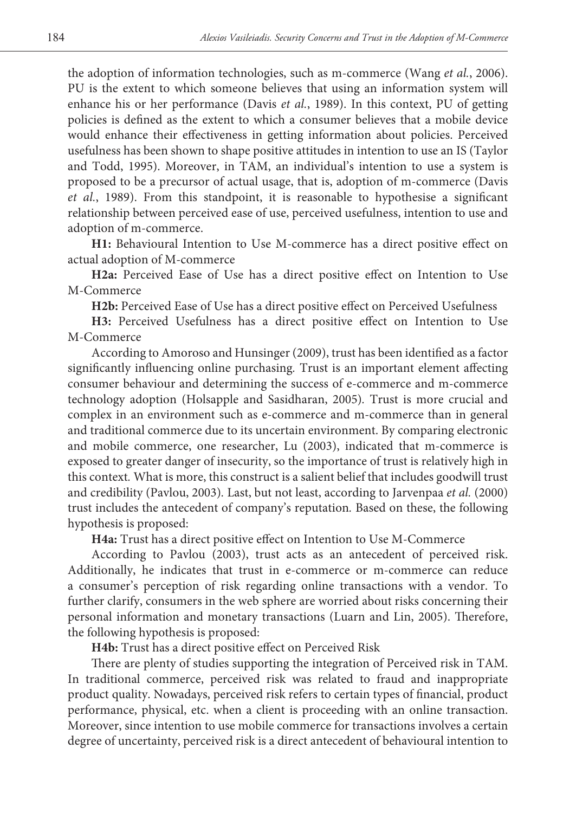the adoption of information technologies, such as m-commerce (Wang *et al.*, 2006). PU is the extent to which someone believes that using an information system will enhance his or her performance (Davis *et al.*, 1989). In this context, PU of getting policies is defined as the extent to which a consumer believes that a mobile device would enhance their effectiveness in getting information about policies. Perceived usefulness has been shown to shape positive attitudes in intention to use an IS (Taylor and Todd, 1995). Moreover, in TAM, an individual's intention to use a system is proposed to be a precursor of actual usage, that is, adoption of m-commerce (Davis *et al.*, 1989). From this standpoint, it is reasonable to hypothesise a significant relationship between perceived ease of use, perceived usefulness, intention to use and adoption of m-commerce.

**H1:** Behavioural Intention to Use M-commerce has a direct positive effect on actual adoption of M-commerce

**H2a:** Perceived Ease of Use has a direct positive effect on Intention to Use M-Commerce

**H2b:** Perceived Ease of Use has a direct positive effect on Perceived Usefulness

**H3:** Perceived Usefulness has a direct positive effect on Intention to Use M-Commerce

According to Amoroso and Hunsinger (2009), trust has been identified as a factor significantly influencing online purchasing*.* Trust is an important element affecting consumer behaviour and determining the success of e-commerce and m-commerce technology adoption (Holsapple and Sasidharan, 2005)*.* Trust is more crucial and complex in an environment such as e-commerce and m-commerce than in general and traditional commerce due to its uncertain environment. By comparing electronic and mobile commerce, one researcher, Lu (2003), indicated that m-commerce is exposed to greater danger of insecurity, so the importance of trust is relatively high in this context*.* What is more, this construct is a salient belief that includes goodwill trust and credibility (Pavlou, 2003)*.* Last, but not least, according to Jarvenpaa *et al.* (2000) trust includes the antecedent of company's reputation*.* Based on these, the following hypothesis is proposed:

**H4a:** Trust has a direct positive effect on Intention to Use M-Commerce

According to Pavlou (2003), trust acts as an antecedent of perceived risk. Additionally, he indicates that trust in e-commerce or m-commerce can reduce a consumer's perception of risk regarding online transactions with a vendor. To further clarify, consumers in the web sphere are worried about risks concerning their personal information and monetary transactions (Luarn and Lin, 2005). Therefore, the following hypothesis is proposed:

**H4b:** Trust has a direct positive effect on Perceived Risk

There are plenty of studies supporting the integration of Perceived risk in TAM. In traditional commerce, perceived risk was related to fraud and inappropriate product quality. Nowadays, perceived risk refers to certain types of financial, product performance, physical, etc. when a client is proceeding with an online transaction. Moreover, since intention to use mobile commerce for transactions involves a certain degree of uncertainty, perceived risk is a direct antecedent of behavioural intention to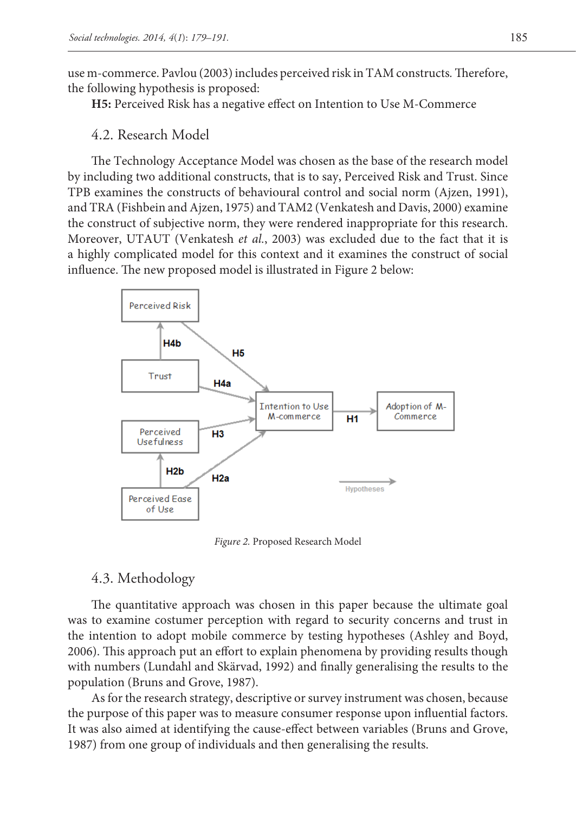use m-commerce. Pavlou (2003) includes perceived risk in TAM constructs*.* Therefore, the following hypothesis is proposed:

**H5:** Perceived Risk has a negative effect on Intention to Use M-Commerce

### 4.2. Research Model

The Technology Acceptance Model was chosen as the base of the research model by including two additional constructs, that is to say, Perceived Risk and Trust. Since TPB examines the constructs of behavioural control and social norm (Ajzen, 1991), and TRA (Fishbein and Ajzen, 1975) and TAM2 (Venkatesh and Davis, 2000) examine the construct of subjective norm, they were rendered inappropriate for this research. Moreover, UTAUT (Venkatesh *et al.*, 2003) was excluded due to the fact that it is a highly complicated model for this context and it examines the construct of social influence. The new proposed model is illustrated in Figure 2 below:



*Figure 2.* Proposed Research Model

### 4.3. Methodology

The quantitative approach was chosen in this paper because the ultimate goal was to examine costumer perception with regard to security concerns and trust in the intention to adopt mobile commerce by testing hypotheses (Ashley and Boyd, 2006). This approach put an effort to explain phenomena by providing results though with numbers (Lundahl and Skärvad, 1992) and finally generalising the results to the population (Bruns and Grove, 1987).

As for the research strategy, descriptive or survey instrument was chosen, because the purpose of this paper was to measure consumer response upon influential factors. It was also aimed at identifying the cause-effect between variables (Bruns and Grove, 1987) from one group of individuals and then generalising the results.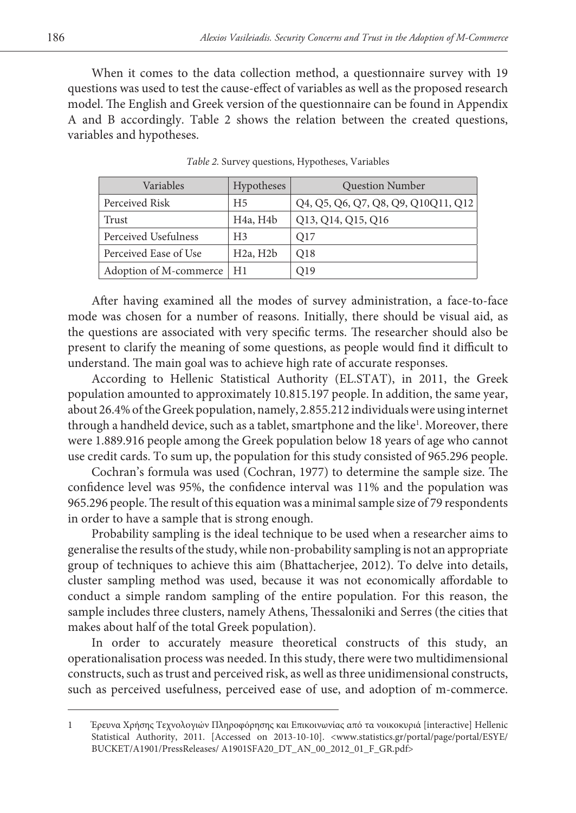When it comes to the data collection method, a questionnaire survey with 19 questions was used to test the cause-effect of variables as well as the proposed research model. The English and Greek version of the questionnaire can be found in Appendix A and B accordingly. Table 2 shows the relation between the created questions, variables and hypotheses.

| Variables              | Hypotheses                         | <b>Question Number</b>              |
|------------------------|------------------------------------|-------------------------------------|
| Perceived Risk         | H5                                 | Q4, Q5, Q6, Q7, Q8, Q9, Q10Q11, Q12 |
| Trust                  | H <sub>4</sub> a, H <sub>4</sub> b | Q13, Q14, Q15, Q16                  |
| Perceived Usefulness   | H <sub>3</sub>                     | O17                                 |
| Perceived Ease of Use  | H <sub>2</sub> a, H <sub>2</sub> b | O <sub>18</sub>                     |
| Adoption of M-commerce | H1                                 | Q19                                 |

*Table 2.* Survey questions, Hypotheses, Variables

After having examined all the modes of survey administration, a face-to-face mode was chosen for a number of reasons. Initially, there should be visual aid, as the questions are associated with very specific terms. The researcher should also be present to clarify the meaning of some questions, as people would find it difficult to understand. The main goal was to achieve high rate of accurate responses.

According to Hellenic Statistical Authority (EL.STAT), in 2011, the Greek population amounted to approximately 10.815.197 people. In addition, the same year, about 26.4% of the Greek population, namely, 2.855.212 individuals were using internet through a handheld device, such as a tablet, smartphone and the like<sup>1</sup>. Moreover, there were 1.889.916 people among the Greek population below 18 years of age who cannot use credit cards. To sum up, the population for this study consisted of 965.296 people.

Cochran's formula was used (Cochran, 1977) to determine the sample size. The confidence level was 95%, the confidence interval was 11% and the population was 965.296 people. The result of this equation was a minimal sample size of 79 respondents in order to have a sample that is strong enough.

Probability sampling is the ideal technique to be used when a researcher aims to generalise the results of the study, while non-probability sampling is not an appropriate group of techniques to achieve this aim (Bhattacherjee, 2012). To delve into details, cluster sampling method was used, because it was not economically affordable to conduct a simple random sampling of the entire population. For this reason, the sample includes three clusters, namely Athens, Thessaloniki and Serres (the cities that makes about half of the total Greek population).

In order to accurately measure theoretical constructs of this study, an operationalisation process was needed. In this study, there were two multidimensional constructs, such as trust and perceived risk, as well as three unidimensional constructs, such as perceived usefulness, perceived ease of use, and adoption of m-commerce.

<sup>1</sup> Έρευνα Χρήσης Τεχνολογιών Πληροφόρησης και Επικοινωνίας από τα νοικοκυριά [interactive] Hellenic Statistical Authority, 2011. [Accessed on 2013-10-10]. <www.statistics.gr/portal/page/portal/ESYE/ BUCKET/A1901/PressReleases/ A1901SFA20\_DT\_AN\_00\_2012\_01\_F\_GR.pdf>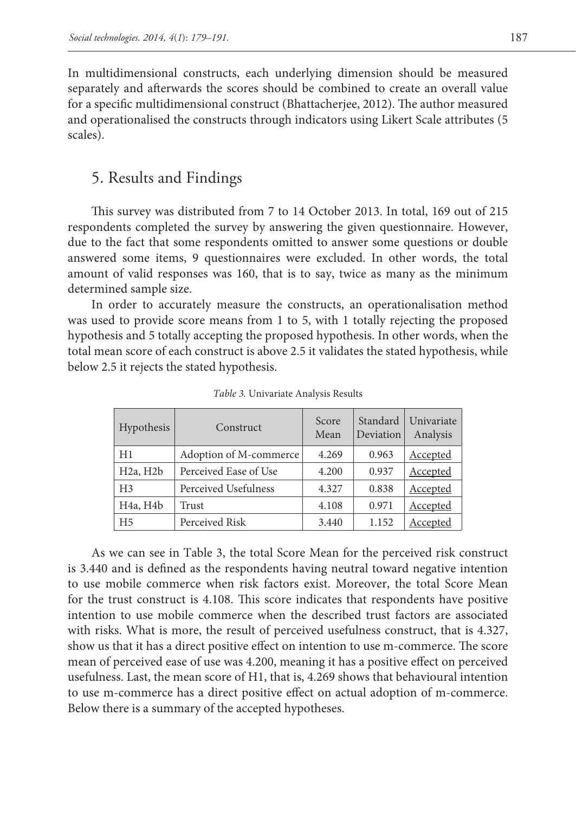In multidimensional constructs, each underlying dimension should be measured separately and afterwards the scores should be combined to create an overall value for a specific multidimensional construct (Bhattacherjee, 2012). The author measured and operationalised the constructs through indicators using Likert Scale attributes (5 scales).

# 5. Results and Findings

This survey was distributed from 7 to 14 October 2013. In total, 169 out of 215 respondents completed the survey by answering the given questionnaire. However, due to the fact that some respondents omitted to answer some questions or double answered some items, 9 questionnaires were excluded. In other words, the total amount of valid responses was 160, that is to say, twice as many as the minimum determined sample size.

In order to accurately measure the constructs, an operationalisation method was used to provide score means from 1 to 5, with 1 totally rejecting the proposed hypothesis and 5 totally accepting the proposed hypothesis. In other words, when the total mean score of each construct is above 2.5 it validates the stated hypothesis, while below 2.5 it rejects the stated hypothesis.

| Hypothesis                         | Construct              | Score<br>Mean | Standard<br>Deviation | Univariate<br>Analysis |
|------------------------------------|------------------------|---------------|-----------------------|------------------------|
| H1                                 | Adoption of M-commerce | 4.269         | 0.963                 | Accepted               |
| H <sub>2</sub> a, H <sub>2</sub> b | Perceived Ease of Use  | 4.200         | 0.937                 | Accepted               |
| H <sub>3</sub>                     | Perceived Usefulness   | 4.327         | 0.838                 | Accepted               |
| H <sub>4a</sub> , H <sub>4b</sub>  | Trust                  | 4.108         | 0.971                 | Accepted               |
| H <sub>5</sub>                     | Perceived Risk         | 3.440         | 1.152                 | Accepted               |

*Table 3.* Univariate Analysis Results

As we can see in Table 3, the total Score Mean for the perceived risk construct is 3.440 and is defined as the respondents having neutral toward negative intention to use mobile commerce when risk factors exist. Moreover, the total Score Mean for the trust construct is 4.108. This score indicates that respondents have positive intention to use mobile commerce when the described trust factors are associated with risks. What is more, the result of perceived usefulness construct, that is 4.327, show us that it has a direct positive effect on intention to use m-commerce. The score mean of perceived ease of use was 4.200, meaning it has a positive effect on perceived usefulness. Last, the mean score of H1, that is, 4.269 shows that behavioural intention to use m-commerce has a direct positive effect on actual adoption of m-commerce. Below there is a summary of the accepted hypotheses.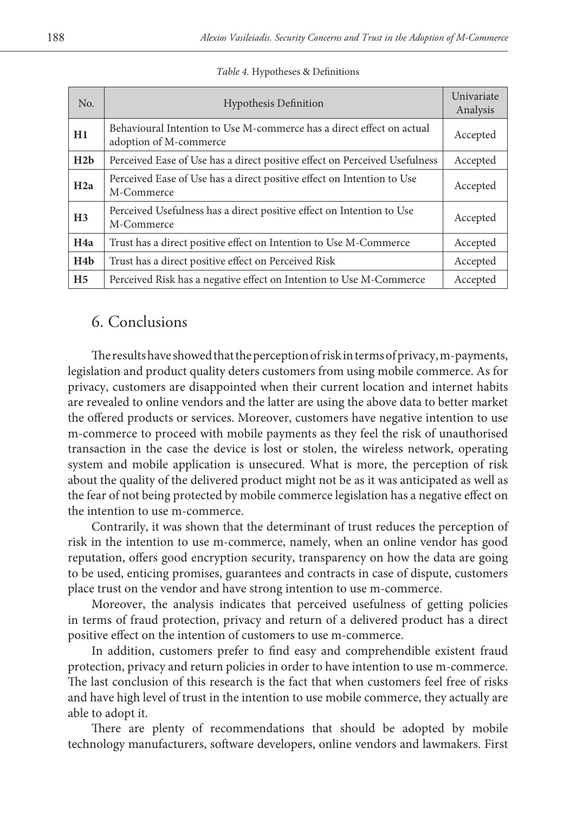| No.              | <b>Hypothesis Definition</b>                                                                    | Univariate<br>Analysis |
|------------------|-------------------------------------------------------------------------------------------------|------------------------|
| H1               | Behavioural Intention to Use M-commerce has a direct effect on actual<br>adoption of M-commerce | Accepted               |
| H2b              | Perceived Ease of Use has a direct positive effect on Perceived Usefulness                      | Accepted               |
| H2a              | Perceived Ease of Use has a direct positive effect on Intention to Use<br>M-Commerce            | Accepted               |
| H <sub>3</sub>   | Perceived Usefulness has a direct positive effect on Intention to Use<br>M-Commerce             | Accepted               |
| H4a              | Trust has a direct positive effect on Intention to Use M-Commerce                               | Accepted               |
| H <sub>4</sub> b | Trust has a direct positive effect on Perceived Risk                                            | Accepted               |
| H <sub>5</sub>   | Perceived Risk has a negative effect on Intention to Use M-Commerce                             | Accepted               |

*Table 4.* Hypotheses & Definitions

# 6. Conclusions

The results have showed that the perception of risk in terms of privacy, m-payments, legislation and product quality deters customers from using mobile commerce. As for privacy, customers are disappointed when their current location and internet habits are revealed to online vendors and the latter are using the above data to better market the offered products or services. Moreover, customers have negative intention to use m-commerce to proceed with mobile payments as they feel the risk of unauthorised transaction in the case the device is lost or stolen, the wireless network, operating system and mobile application is unsecured. What is more, the perception of risk about the quality of the delivered product might not be as it was anticipated as well as the fear of not being protected by mobile commerce legislation has a negative effect on the intention to use m-commerce.

Contrarily, it was shown that the determinant of trust reduces the perception of risk in the intention to use m-commerce, namely, when an online vendor has good reputation, offers good encryption security, transparency on how the data are going to be used, enticing promises, guarantees and contracts in case of dispute, customers place trust on the vendor and have strong intention to use m-commerce.

Moreover, the analysis indicates that perceived usefulness of getting policies in terms of fraud protection, privacy and return of a delivered product has a direct positive effect on the intention of customers to use m-commerce.

In addition, customers prefer to find easy and comprehendible existent fraud protection, privacy and return policies in order to have intention to use m-commerce. The last conclusion of this research is the fact that when customers feel free of risks and have high level of trust in the intention to use mobile commerce, they actually are able to adopt it.

There are plenty of recommendations that should be adopted by mobile technology manufacturers, software developers, online vendors and lawmakers. First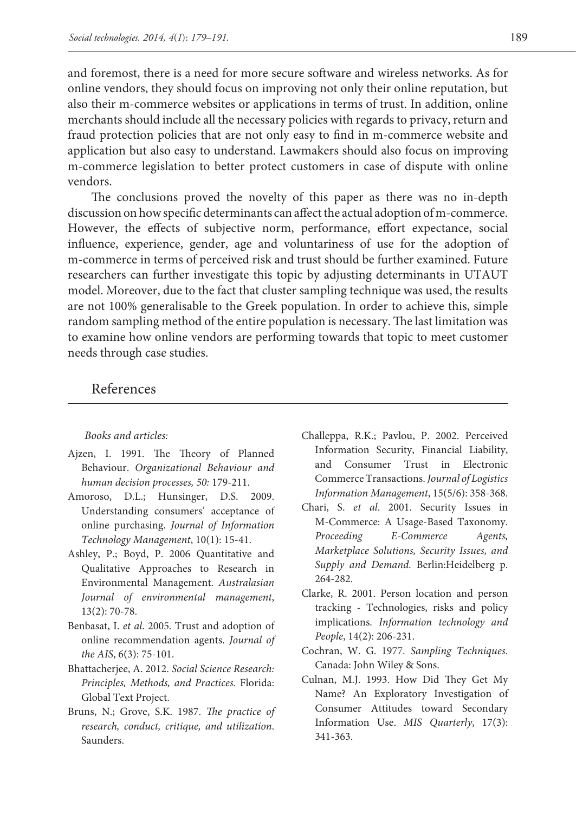and foremost, there is a need for more secure software and wireless networks. As for online vendors, they should focus on improving not only their online reputation, but also their m-commerce websites or applications in terms of trust. In addition, online merchants should include all the necessary policies with regards to privacy, return and fraud protection policies that are not only easy to find in m-commerce website and application but also easy to understand. Lawmakers should also focus on improving m-commerce legislation to better protect customers in case of dispute with online vendors.

The conclusions proved the novelty of this paper as there was no in-depth discussion on how specific determinants can affect the actual adoption of m-commerce. However, the effects of subjective norm, performance, effort expectance, social influence, experience, gender, age and voluntariness of use for the adoption of m-commerce in terms of perceived risk and trust should be further examined. Future researchers can further investigate this topic by adjusting determinants in UTAUT model. Moreover, due to the fact that cluster sampling technique was used, the results are not 100% generalisable to the Greek population. In order to achieve this, simple random sampling method of the entire population is necessary. The last limitation was to examine how online vendors are performing towards that topic to meet customer needs through case studies.

### References

#### *Books and articles:*

- Ajzen, I. 1991. The Theory of Planned Behaviour. *Organizational Behaviour and human decision processes, 50:* 179-211.
- Amoroso, D.L.; Hunsinger, D.S. 2009. Understanding consumers' acceptance of online purchasing. *Journal of Information Technology Management*, 10(1): 15-41.
- Ashley, P.; Boyd, P. 2006 Quantitative and Qualitative Approaches to Research in Environmental Management. *Australasian Journal of environmental management*, 13(2): 70-78.
- Benbasat, I. *et al*. 2005. Trust and adoption of online recommendation agents. *Journal of the AIS*, 6(3): 75-101.
- Bhattacherjee, A. 2012. *Social Science Research: Principles, Methods, and Practices.* Florida: Global Text Project.
- Bruns, N.; Grove, S.K. 1987. *The practice of research, conduct, critique, and utilization*. Saunders.
- Challeppa, R.K.; Pavlou, P. 2002. Perceived Information Security, Financial Liability, and Consumer Trust in Electronic Commerce Transactions. *Journal of Logistics Information Management*, 15(5/6): 358-368.
- Chari, S. *et al*. 2001. Security Issues in M-Commerce: A Usage-Based Taxonomy*. Proceeding E-Commerce Agents, Marketplace Solutions, Security Issues, and Supply and Demand.* Berlin:Heidelberg p. 264-282.
- Clarke, R. 2001. Person location and person tracking - Technologies, risks and policy implications. *Information technology and People*, 14(2): 206-231.
- Cochran, W. G. 1977. *Sampling Techniques.* Canada: John Wiley & Sons.
- Culnan, M.J. 1993. How Did They Get My Name? An Exploratory Investigation of Consumer Attitudes toward Secondary Information Use. *MIS Quarterly*, 17(3): 341-363.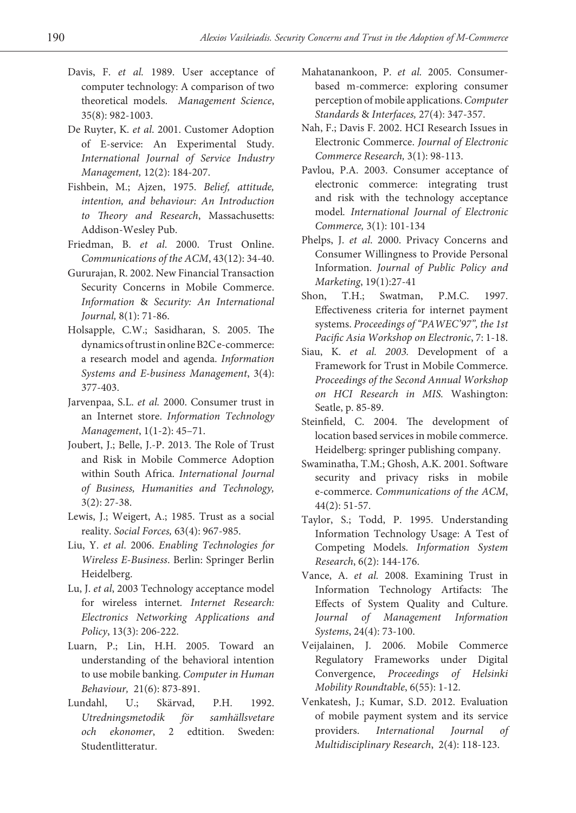- Davis, F. *et al.* 1989. User acceptance of computer technology: A comparison of two theoretical models. *Management Science*, 35(8): 982-1003.
- De Ruyter, K. *et al*. 2001. Customer Adoption of E-service: An Experimental Study. *International Journal of Service Industry Management,* 12(2): 184-207.
- Fishbein, M.; Ajzen, 1975. *Belief, attitude, intention, and behaviour: An Introduction to Theory and Research*, Massachusetts: Addison-Wesley Pub.
- Friedman, B. *et al*. 2000. Trust Online. *Communications of the ACM*, 43(12): 34-40.
- Gururajan, R. 2002. New Financial Transaction Security Concerns in Mobile Commerce. *Information* & *Security: An International Journal,* 8(1): 71-86.
- Holsapple, C.W.; Sasidharan, S. 2005. The dynamics of trust in online B2C e-commerce: a research model and agenda. *Information Systems and E-business Management*, 3(4): 377-403.
- Jarvenpaa, S.L. *et al.* 2000. Consumer trust in an Internet store. *Information Technology Management*, 1(1-2): 45–71.
- Joubert, J.; Belle, J.-P. 2013. The Role of Trust and Risk in Mobile Commerce Adoption within South Africa. *International Journal of Business, Humanities and Technology,*  3(2): 27-38.
- Lewis, J.; Weigert, A.; 1985. Trust as a social reality. *Social Forces,* 63(4): 967-985.
- Liu, Y. *et al*. 2006. *Enabling Technologies for Wireless E-Business*. Berlin: Springer Berlin Heidelberg.
- Lu, J. *et al*, 2003 Technology acceptance model for wireless internet*. Internet Research: Electronics Networking Applications and Policy*, 13(3): 206-222.
- Luarn, P.; Lin, H.H. 2005. Toward an understanding of the behavioral intention to use mobile banking. *Computer in Human Behaviour,* 21(6): 873-891.
- Lundahl, U.; Skärvad, P.H. 1992. *Utredningsmetodik för samhällsvetare och ekonomer*, 2 edtition. Sweden: Studentlitteratur.
- Mahatanankoon, P. *et al.* 2005. Consumerbased m-commerce: exploring consumer perception of mobile applications. *Computer Standards* & *Interfaces,* 27(4): 347-357.
- Nah, F.; Davis F. 2002. HCI Research Issues in Electronic Commerce. *Journal of Electronic Commerce Research,* 3(1): 98-113.
- Pavlou, P.A. 2003. Consumer acceptance of electronic commerce: integrating trust and risk with the technology acceptance model*. International Journal of Electronic Commerce,* 3(1): 101-134
- Phelps, J. *et al*. 2000. Privacy Concerns and Consumer Willingness to Provide Personal Information. *Journal of Public Policy and Marketing*, 19(1):27-41
- Shon, T.H.; Swatman, P.M.C. 1997. Effectiveness criteria for internet payment systems. *Proceedings of "PAWEC'97", the 1st Pacific Asia Workshop on Electronic*, 7: 1-18.
- Siau, K. *et al. 2003.* Development of a Framework for Trust in Mobile Commerce. *Proceedings of the Second Annual Workshop on HCI Research in MIS.* Washington: Seatle, p. 85-89.
- Steinfield, C. 2004. The development of location based services in mobile commerce. Heidelberg: springer publishing company.
- Swaminatha, T.M.; Ghosh, A.K. 2001. Software security and privacy risks in mobile e-commerce. *Communications of the ACM*, 44(2): 51-57.
- Taylor, S.; Todd, P. 1995. Understanding Information Technology Usage: A Test of Competing Models. *Information System Research*, 6(2): 144-176.
- Vance, A. *et al.* 2008. Examining Trust in Information Technology Artifacts: The Effects of System Quality and Culture. *Journal of Management Information Systems*, 24(4): 73-100.
- Veijalainen, J. 2006. Mobile Commerce Regulatory Frameworks under Digital Convergence, *Proceedings of Helsinki Mobility Roundtable*, 6(55): 1-12.
- Venkatesh, J.; Kumar, S.D. 2012. Evaluation of mobile payment system and its service providers. *International Journal of Multidisciplinary Research*, 2(4): 118-123.